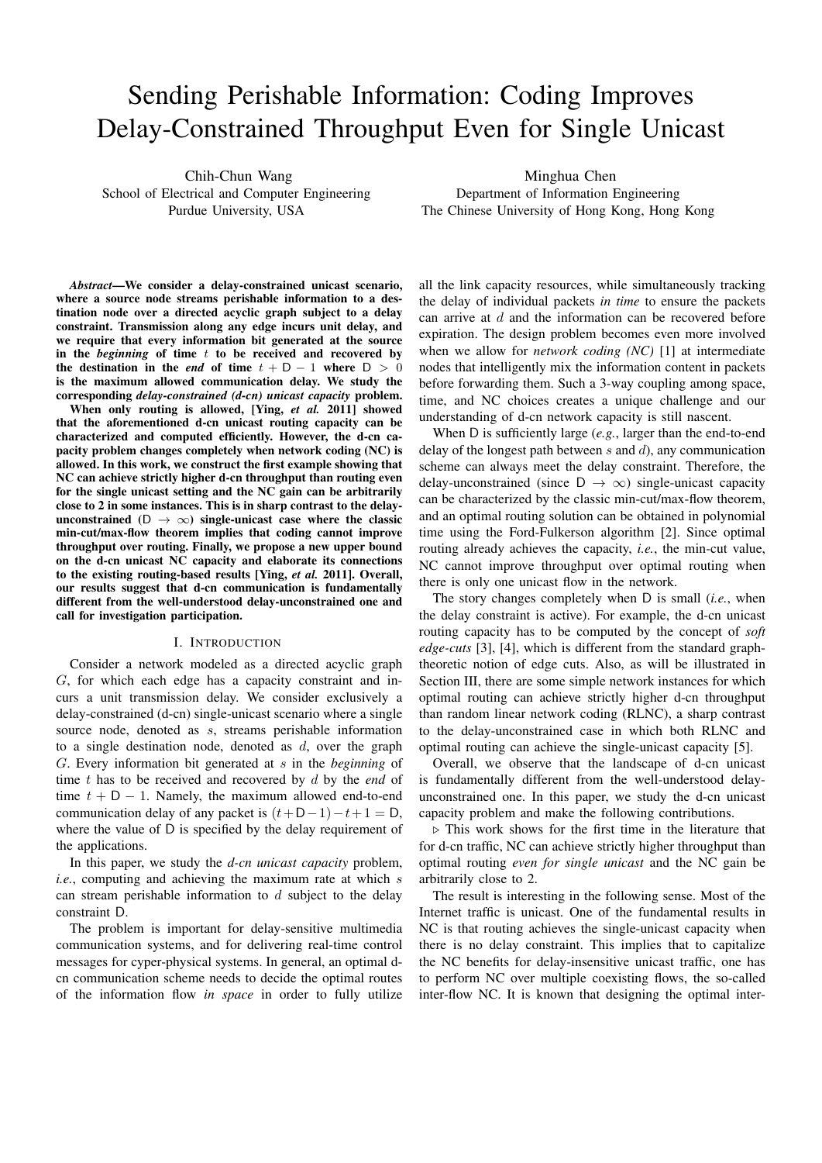# Sending Perishable Information: Coding Improves Delay-Constrained Throughput Even for Single Unicast

Chih-Chun Wang School of Electrical and Computer Engineering Purdue University, USA

Minghua Chen Department of Information Engineering The Chinese University of Hong Kong, Hong Kong

*Abstract*—We consider a delay-constrained unicast scenario, where a source node streams perishable information to a destination node over a directed acyclic graph subject to a delay constraint. Transmission along any edge incurs unit delay, and we require that every information bit generated at the source in the *beginning* of time t to be received and recovered by the destination in the *end* of time  $t + D - 1$  where  $D > 0$ is the maximum allowed communication delay. We study the corresponding *delay-constrained (d-cn) unicast capacity* problem.

When only routing is allowed, [Ying, *et al.* 2011] showed that the aforementioned d-cn unicast routing capacity can be characterized and computed efficiently. However, the d-cn capacity problem changes completely when network coding (NC) is allowed. In this work, we construct the first example showing that NC can achieve strictly higher d-cn throughput than routing even for the single unicast setting and the NC gain can be arbitrarily close to 2 in some instances. This is in sharp contrast to the delayunconstrained (D  $\rightarrow \infty$ ) single-unicast case where the classic min-cut/max-flow theorem implies that coding cannot improve throughput over routing. Finally, we propose a new upper bound on the d-cn unicast NC capacity and elaborate its connections to the existing routing-based results [Ying, *et al.* 2011]. Overall, our results suggest that d-cn communication is fundamentally different from the well-understood delay-unconstrained one and call for investigation participation.

### I. INTRODUCTION

Consider a network modeled as a directed acyclic graph G, for which each edge has a capacity constraint and incurs a unit transmission delay. We consider exclusively a delay-constrained (d-cn) single-unicast scenario where a single source node, denoted as  $s$ , streams perishable information to a single destination node, denoted as  $d$ , over the graph G. Every information bit generated at s in the *beginning* of time t has to be received and recovered by d by the *end* of time  $t + D - 1$ . Namely, the maximum allowed end-to-end communication delay of any packet is  $(t+D-1)-t+1 = D$ , where the value of D is specified by the delay requirement of the applications.

In this paper, we study the *d-cn unicast capacity* problem, *i.e.*, computing and achieving the maximum rate at which s can stream perishable information to  $d$  subject to the delay constraint D.

The problem is important for delay-sensitive multimedia communication systems, and for delivering real-time control messages for cyper-physical systems. In general, an optimal dcn communication scheme needs to decide the optimal routes of the information flow *in space* in order to fully utilize

all the link capacity resources, while simultaneously tracking the delay of individual packets *in time* to ensure the packets can arrive at d and the information can be recovered before expiration. The design problem becomes even more involved when we allow for *network coding (NC)* [1] at intermediate nodes that intelligently mix the information content in packets before forwarding them. Such a 3-way coupling among space, time, and NC choices creates a unique challenge and our understanding of d-cn network capacity is still nascent.

When D is sufficiently large (*e.g.*, larger than the end-to-end delay of the longest path between  $s$  and  $d$ ), any communication scheme can always meet the delay constraint. Therefore, the delay-unconstrained (since  $D \rightarrow \infty$ ) single-unicast capacity can be characterized by the classic min-cut/max-flow theorem, and an optimal routing solution can be obtained in polynomial time using the Ford-Fulkerson algorithm [2]. Since optimal routing already achieves the capacity, *i.e.*, the min-cut value, NC cannot improve throughput over optimal routing when there is only one unicast flow in the network.

The story changes completely when D is small (*i.e.*, when the delay constraint is active). For example, the d-cn unicast routing capacity has to be computed by the concept of *soft edge-cuts* [3], [4], which is different from the standard graphtheoretic notion of edge cuts. Also, as will be illustrated in Section III, there are some simple network instances for which optimal routing can achieve strictly higher d-cn throughput than random linear network coding (RLNC), a sharp contrast to the delay-unconstrained case in which both RLNC and optimal routing can achieve the single-unicast capacity [5].

Overall, we observe that the landscape of d-cn unicast is fundamentally different from the well-understood delayunconstrained one. In this paper, we study the d-cn unicast capacity problem and make the following contributions.

 $\triangleright$  This work shows for the first time in the literature that for d-cn traffic, NC can achieve strictly higher throughput than optimal routing *even for single unicast* and the NC gain be arbitrarily close to 2.

The result is interesting in the following sense. Most of the Internet traffic is unicast. One of the fundamental results in NC is that routing achieves the single-unicast capacity when there is no delay constraint. This implies that to capitalize the NC benefits for delay-insensitive unicast traffic, one has to perform NC over multiple coexisting flows, the so-called inter-flow NC. It is known that designing the optimal inter-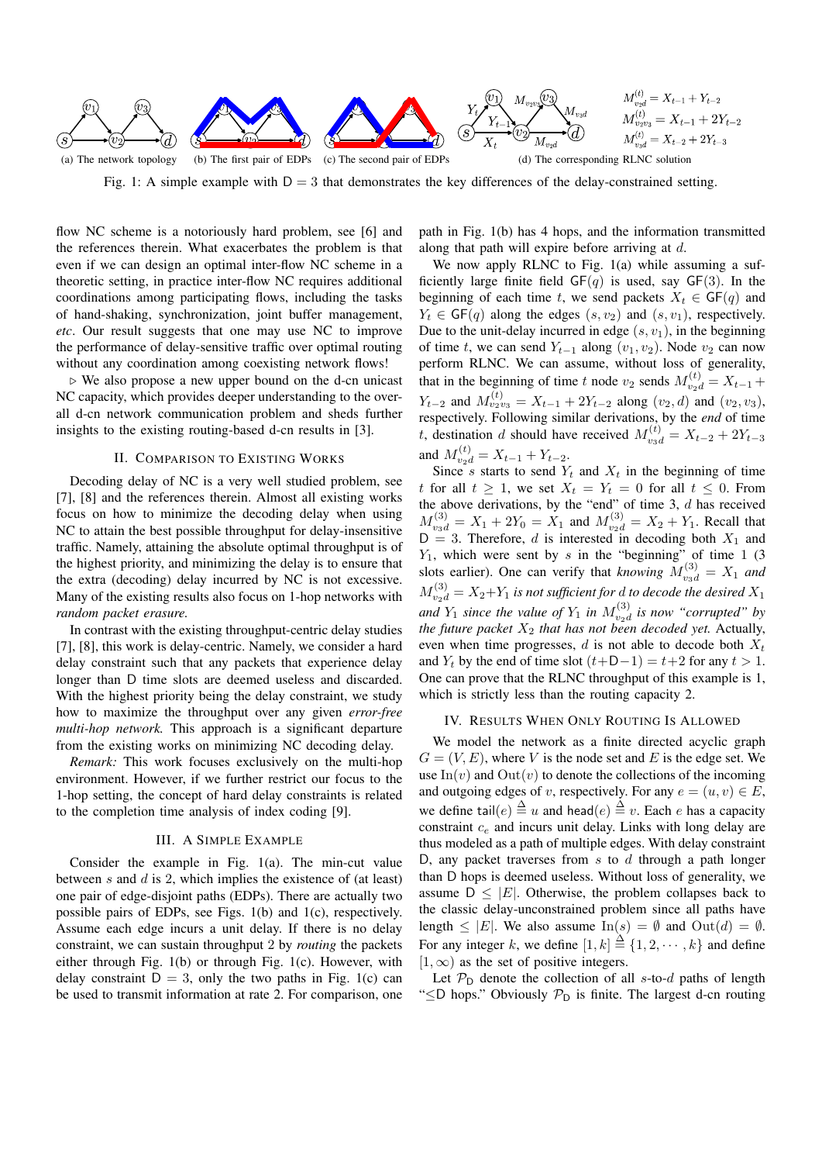

Fig. 1: A simple example with  $D = 3$  that demonstrates the key differences of the delay-constrained setting.

flow NC scheme is a notoriously hard problem, see [6] and the references therein. What exacerbates the problem is that even if we can design an optimal inter-flow NC scheme in a theoretic setting, in practice inter-flow NC requires additional coordinations among participating flows, including the tasks of hand-shaking, synchronization, joint buffer management, *etc*. Our result suggests that one may use NC to improve the performance of delay-sensitive traffic over optimal routing without any coordination among coexisting network flows!

- We also propose a new upper bound on the d-cn unicast NC capacity, which provides deeper understanding to the overall d-cn network communication problem and sheds further insights to the existing routing-based d-cn results in [3].

# II. COMPARISON TO EXISTING WORKS

Decoding delay of NC is a very well studied problem, see [7], [8] and the references therein. Almost all existing works focus on how to minimize the decoding delay when using NC to attain the best possible throughput for delay-insensitive traffic. Namely, attaining the absolute optimal throughput is of the highest priority, and minimizing the delay is to ensure that the extra (decoding) delay incurred by NC is not excessive. Many of the existing results also focus on 1-hop networks with *random packet erasure.*

In contrast with the existing throughput-centric delay studies [7], [8], this work is delay-centric. Namely, we consider a hard delay constraint such that any packets that experience delay longer than D time slots are deemed useless and discarded. With the highest priority being the delay constraint, we study how to maximize the throughput over any given *error-free multi-hop network.* This approach is a significant departure from the existing works on minimizing NC decoding delay.

*Remark:* This work focuses exclusively on the multi-hop environment. However, if we further restrict our focus to the 1-hop setting, the concept of hard delay constraints is related to the completion time analysis of index coding [9].

### III. A SIMPLE EXAMPLE

Consider the example in Fig. 1(a). The min-cut value between  $s$  and  $d$  is 2, which implies the existence of (at least) one pair of edge-disjoint paths (EDPs). There are actually two possible pairs of EDPs, see Figs. 1(b) and 1(c), respectively. Assume each edge incurs a unit delay. If there is no delay constraint, we can sustain throughput 2 by *routing* the packets either through Fig. 1(b) or through Fig. 1(c). However, with delay constraint  $D = 3$ , only the two paths in Fig. 1(c) can be used to transmit information at rate 2. For comparison, one path in Fig. 1(b) has 4 hops, and the information transmitted along that path will expire before arriving at d.

We now apply RLNC to Fig. 1(a) while assuming a sufficiently large finite field  $GF(q)$  is used, say  $GF(3)$ . In the beginning of each time t, we send packets  $X_t \in \mathsf{GF}(q)$  and  $Y_t \in \mathsf{GF}(q)$  along the edges  $(s, v_2)$  and  $(s, v_1)$ , respectively. Due to the unit-delay incurred in edge  $(s, v_1)$ , in the beginning of time t, we can send  $Y_{t-1}$  along  $(v_1, v_2)$ . Node  $v_2$  can now perform RLNC. We can assume, without loss of generality, that in the beginning of time t node  $v_2$  sends  $M_{v_2d}^{(t)} = X_{t-1} +$  $Y_{t-2}$  and  $M_{v_2v_3}^{(t)} = X_{t-1} + 2Y_{t-2}$  along  $(v_2, d)$  and  $(v_2, v_3)$ , respectively. Following similar derivations, by the *end* of time t, destination d should have received  $M_{v_3d}^{(t)} = X_{t-2} + 2Y_{t-3}$ and  $M_{v_2d}^{(t)} = X_{t-1} + Y_{t-2}$ .

Since s starts to send  $Y_t$  and  $X_t$  in the beginning of time t for all  $t \geq 1$ , we set  $X_t = Y_t = 0$  for all  $t \leq 0$ . From the above derivations, by the "end" of time  $3$ ,  $d$  has received  $M_{\nu_3d}^{(3)} = X_1 + 2Y_0 = X_1$  and  $M_{\nu_2d}^{(3)} = X_2 + Y_1$ . Recall that  $D = 3$ . Therefore, d is interested in decoding both  $X_1$  and  $Y_1$ , which were sent by s in the "beginning" of time 1 (3) slots earlier). One can verify that *knowing*  $M_{v_3d}^{(3)} = X_1$  *and*  $M_{v_2d}^{(3)} = X_2+Y_1$  *is not sufficient for d to decode the desired*  $X_1$ and  $Y_1$  since the value of  $Y_1$  in  $M_{v_2d}^{(3)}$  is now "corrupted" by *the future packet*  $X_2$  *that has not been decoded yet.* Actually, even when time progresses,  $d$  is not able to decode both  $X_t$ and  $Y_t$  by the end of time slot  $(t+D-1) = t+2$  for any  $t > 1$ . One can prove that the RLNC throughput of this example is 1, which is strictly less than the routing capacity 2.

### IV. RESULTS WHEN ONLY ROUTING IS ALLOWED

We model the network as a finite directed acyclic graph  $G = (V, E)$ , where V is the node set and E is the edge set. We use  $\text{In}(v)$  and  $\text{Out}(v)$  to denote the collections of the incoming and outgoing edges of v, respectively. For any  $e = (u, v) \in E$ , we define tail $(e) \stackrel{\Delta}{=} u$  and head $(e) \stackrel{\Delta}{=} v$ . Each e has a capacity constraint  $c_e$  and incurs unit delay. Links with long delay are thus modeled as a path of multiple edges. With delay constraint D, any packet traverses from  $s$  to  $d$  through a path longer than D hops is deemed useless. Without loss of generality, we assume  $D \leq |E|$ . Otherwise, the problem collapses back to the classic delay-unconstrained problem since all paths have length  $\leq$  |E|. We also assume In(s) =  $\emptyset$  and Out(d) =  $\emptyset$ . For any integer k, we define  $[1, k] \stackrel{\Delta}{=} \{1, 2, \dots, k\}$  and define  $[1, \infty)$  as the set of positive integers.

Let  $P_D$  denote the collection of all s-to-d paths of length " $\leq$ D hops." Obviously  $P_D$  is finite. The largest d-cn routing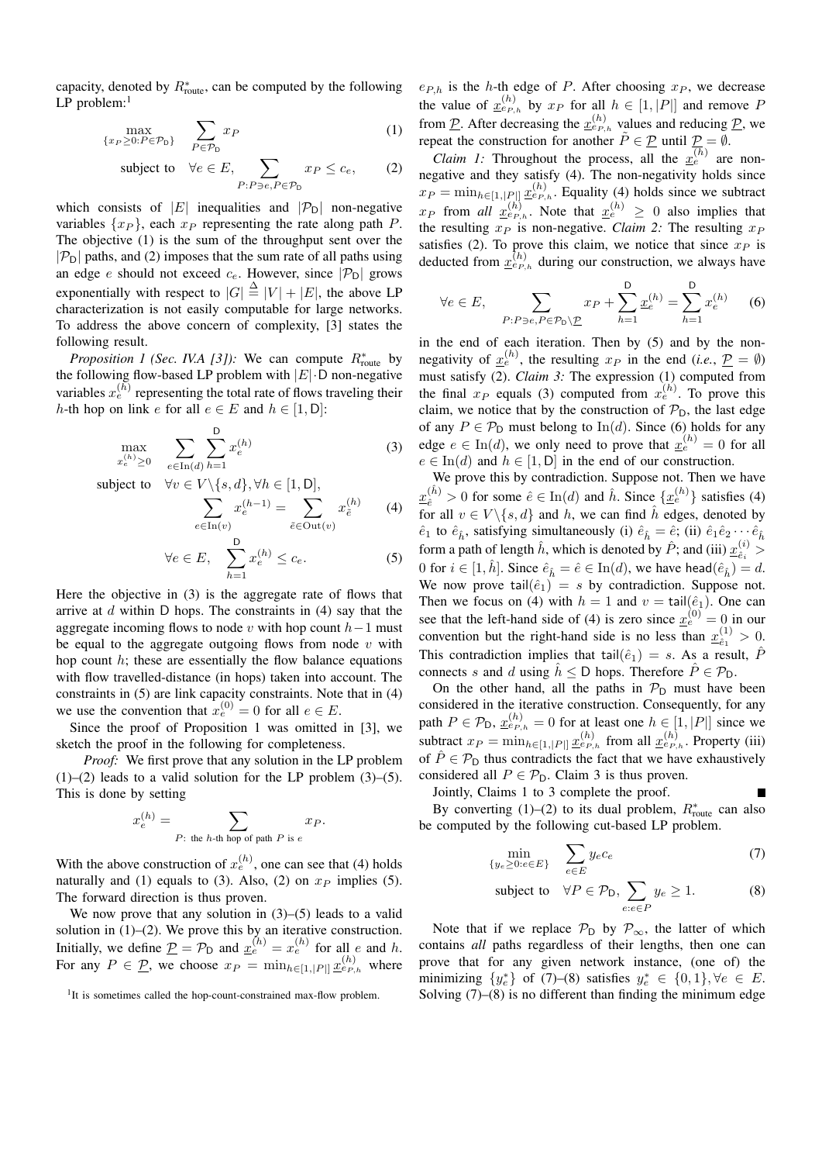capacity, denoted by  $R_{\text{route}}^*$ , can be computed by the following  $LP$  problem:<sup>1</sup>

$$
\max_{\{x_P \ge 0: P \in \mathcal{P}_D\}} \sum_{P \in \mathcal{P}_D} x_P \tag{1}
$$

subject to 
$$
\forall e \in E
$$
,  $\sum_{P:P \ni e, P \in \mathcal{P}_D} x_P \le c_e$ , (2)

which consists of |E| inequalities and  $|\mathcal{P}_D|$  non-negative variables  $\{x_P\}$ , each  $x_P$  representing the rate along path P. The objective (1) is the sum of the throughput sent over the  $|\mathcal{P}_D|$  paths, and (2) imposes that the sum rate of all paths using an edge e should not exceed  $c_e$ . However, since  $|\mathcal{P}_D|$  grows exponentially with respect to  $|G| \triangleq |V| + |E|$ , the above LP characterization is not easily computable for large networks. To address the above concern of complexity, [3] states the following result.

*Proposition 1 (Sec. IV.A [3]):* We can compute  $R_{\text{route}}^*$  by the following flow-based LP problem with  $|E| \cdot D$  non-negative variables  $x_e^{(h)}$  representing the total rate of flows traveling their h-th hop on link e for all  $e \in E$  and  $h \in [1, D]$ :

$$
\max_{x_e^{(h)} \ge 0} \sum_{e \in \text{In}(d)} \sum_{h=1}^{D} x_e^{(h)} \tag{3}
$$

subject to  $\forall v \in V \setminus \{s, d\}, \forall h \in [1, D],$ 

$$
\sum_{e \in \text{In}(v)} x_e^{(h-1)} = \sum_{\tilde{e} \in \text{Out}(v)} x_{\tilde{e}}^{(h)} \tag{4}
$$

$$
\forall e \in E, \quad \sum_{h=1}^{D} x_e^{(h)} \le c_e. \tag{5}
$$

Here the objective in (3) is the aggregate rate of flows that arrive at  $d$  within D hops. The constraints in (4) say that the aggregate incoming flows to node v with hop count  $h-1$  must be equal to the aggregate outgoing flows from node  $v$  with hop count  $h$ ; these are essentially the flow balance equations with flow travelled-distance (in hops) taken into account. The constraints in (5) are link capacity constraints. Note that in (4) we use the convention that  $x_e^{(0)} = 0$  for all  $e \in E$ .

Since the proof of Proposition 1 was omitted in [3], we sketch the proof in the following for completeness.

*Proof:* We first prove that any solution in the LP problem  $(1)$ – $(2)$  leads to a valid solution for the LP problem  $(3)$ – $(5)$ . This is done by setting

$$
x_e^{(h)} = \sum_{P:\text{ the }h\text{-th hop of path }P\text{ is }e} x_P.
$$

With the above construction of  $x_e^{(h)}$ , one can see that (4) holds naturally and (1) equals to (3). Also, (2) on  $x_P$  implies (5). The forward direction is thus proven.

We now prove that any solution in  $(3)$ – $(5)$  leads to a valid solution in (1)–(2). We prove this by an iterative construction.<br>Initially, we define  $\underline{P} = \mathcal{P}_D$  and  $\underline{x}_e^{(h)} = x_e^{(h)}$  for all e and h. For any  $P \in \mathcal{P}$ , we choose  $x_P = \min_{h \in [1, |P|]} \underline{x}_{e_{P,h}}^{(h)}$  where

 $e_{P,h}$  is the h-th edge of P. After choosing  $x_P$ , we decrease the value of  $\underline{x}_{e_{P,h}}^{(h)}$  by  $x_P$  for all  $h \in [1, |P|]$  and remove P from P. After decreasing the  $\underline{x}_{e_{P,h}}^{(h)}$  values and reducing P, we repeat the construction for another  $\tilde{P} \in \underline{P}$  until  $\underline{P} = \emptyset$ .

*Claim 1:* Throughout the process, all the  $\overline{x_e^{(h)}}$  are nonnegative and they satisfy (4). The non-negativity holds since  $x_P = \min_{h \in [1, |P|]} \underline{x}_{e_{P,h}}^{(h)}$ . Equality (4) holds since we subtract  $x_P$  from *all*  $\underline{x}_{e_{P,h}}^{(h)}$ . Note that  $\underline{x}_e^{(h)} \geq 0$  also implies that the resulting  $x_P$  is non-negative. *Claim 2:* The resulting  $x_P$ satisfies (2). To prove this claim, we notice that since  $x_P$  is deducted from  $\underline{x}_{e_{P,h}}^{(h)}$  during our construction, we always have

$$
\forall e \in E, \quad \sum_{P: P \ni e, P \in \mathcal{P}_D \setminus \underline{P}} x_P + \sum_{h=1}^D \underline{x}_e^{(h)} = \sum_{h=1}^D x_e^{(h)} \tag{6}
$$

in the end of each iteration. Then by (5) and by the nonnegativity of  $x_e^{(h)}$ , the resulting  $x_P$  in the end (*i.e.*,  $P = \emptyset$ ) must satisfy (2). *Claim 3:* The expression (1) computed from the final  $x_P$  equals (3) computed from  $x_e^{(h)}$ . To prove this claim, we notice that by the construction of  $P_D$ , the last edge of any  $P \in \mathcal{P}_D$  must belong to In(d). Since (6) holds for any edge  $e \in \text{In}(d)$ , we only need to prove that  $x_e^{(h)} = 0$  for all  $e \in \text{In}(d)$  and  $h \in [1, D]$  in the end of our construction.

We prove this by contradiction. Suppose not. Then we have  $x(\hat{i}) > 0$  for some  $\hat{e} \in \text{In}(d)$  and  $\hat{h}$ . Since  $\{x_e^{(h)}\}$  satisfies (4) for all  $v \in V \setminus \{s, d\}$  and h, we can find  $\hat{h}$  edges, denoted by  $\hat{e}_1$  to  $\hat{e}_{\hat{h}}$ , satisfying simultaneously (i)  $\hat{e}_{\hat{h}} = \hat{e}$ ; (ii)  $\hat{e}_1 \hat{e}_2 \cdots \hat{e}_{\hat{h}}$ form a path of length  $\hat{h}$ , which is denoted by  $\hat{P}$ ; and (iii)  $\underline{x}_{\hat{e}_i}^{(i)}$  > 0 for  $i \in [1, \hat{h}]$ . Since  $\hat{e}_{\hat{h}} = \hat{e} \in \text{In}(d)$ , we have head $(\hat{e}_{\hat{h}}) = d$ . We now prove tail $(\hat{e}_1) = s$  by contradiction. Suppose not. Then we focus on (4) with  $h = 1$  and  $v = \text{tail}(\hat{e}_1)$ . One can see that the left-hand side of (4) is zero since  $\underline{x}_e^{(0)} = 0$  in our convention but the right-hand side is no less than  $\underline{x}_{\hat{e}_1}^{(1)} > 0$ . This contradiction implies that tail $(\hat{e}_1) = s$ . As a result,  $\hat{P}$ connects s and d using  $\hat{h} \leq D$  hops. Therefore  $\hat{P} \in \mathcal{P}_D$ .

On the other hand, all the paths in  $P_D$  must have been considered in the iterative construction. Consequently, for any path  $P \in \mathcal{P}_D$ ,  $\underline{x}_{e_{P,h}}^{(h)} = 0$  for at least one  $h \in [1, |P|]$  since we subtract  $x_P = \min_{h \in [1, |P|]} \underline{x}_{e_{P,h}}^{(h)}$  from all  $\underline{x}_{e_{P,h}}^{(h)}$ . Property (iii) of  $\hat{P} \in \mathcal{P}_D$  thus contradicts the fact that we have exhaustively considered all  $P \in \mathcal{P}_D$ . Claim 3 is thus proven.

Jointly, Claims 1 to 3 complete the proof. By converting (1)–(2) to its dual problem,  $R_{\text{route}}^*$  can also be computed by the following cut-based LP problem.

$$
\min_{\{y_e \ge 0 : e \in E\}} \quad \sum_{e \in E} y_e c_e \tag{7}
$$

subject to 
$$
\forall P \in \mathcal{P}_D
$$
,  $\sum_{e:e \in P} y_e \ge 1$ . (8)

Note that if we replace  $\mathcal{P}_D$  by  $\mathcal{P}_{\infty}$ , the latter of which contains *all* paths regardless of their lengths, then one can prove that for any given network instance, (one of) the minimizing  $\{y_e^*\}\$  of (7)–(8) satisfies  $y_e^*\in\{0,1\}, \forall e \in E$ . Solving  $(7)$ – $(8)$  is no different than finding the minimum edge

<sup>&</sup>lt;sup>1</sup>It is sometimes called the hop-count-constrained max-flow problem.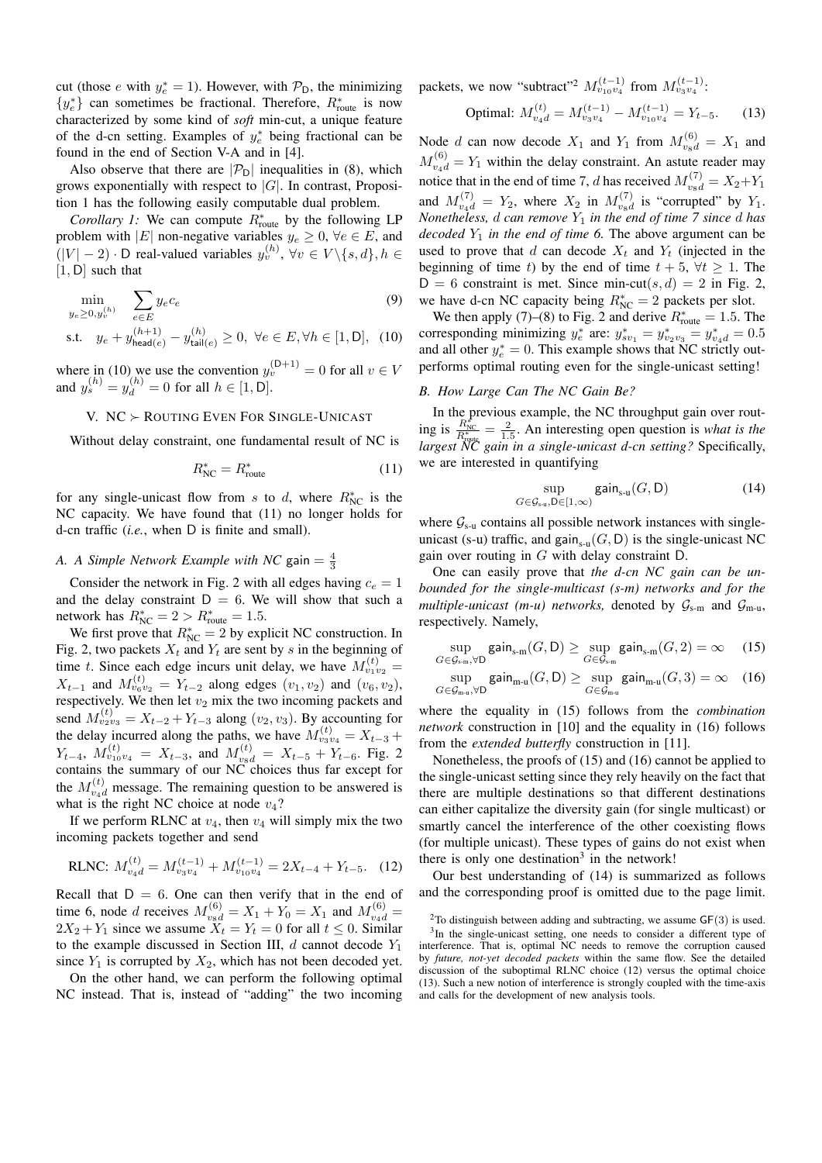cut (those e with  $y_e^* = 1$ ). However, with  $\mathcal{P}_D$ , the minimizing  ${y_e^*}$  can sometimes be fractional. Therefore,  $R_{\text{route}}^*$  is now characterized by some kind of *soft* min-cut, a unique feature of the d-cn setting. Examples of  $y_e^*$  being fractional can be found in the end of Section V-A and in [4].

Also observe that there are  $|\mathcal{P}_D|$  inequalities in (8), which grows exponentially with respect to  $|G|$ . In contrast, Proposition 1 has the following easily computable dual problem.

*Corollary 1:* We can compute  $R_{\text{route}}^*$  by the following LP problem with |E| non-negative variables  $y_e \geq 0$ ,  $\forall e \in E$ , and  $(|V| - 2) \cdot D$  real-valued variables  $y_v^{(h)}$ ,  $\forall v \in V \setminus \{s, d\}, h \in$  $[1, D]$  such that

$$
\min_{y_e \ge 0, y_v^{(h)}} \sum_{e \in E} y_e c_e
$$
\n
$$
\text{s.t.} \quad y_e + y_{\text{head}(e)}^{(h+1)} - y_{\text{tail}(e)}^{(h)} \ge 0, \ \forall e \in E, \forall h \in [1, \text{D}], \tag{10}
$$

where in (10) we use the convention  $y_v^{(D+1)} = 0$  for all  $v \in V$ and  $y_s^{(h)} = y_d^{(h)} = 0$  for all  $h \in [1, D]$ .

# V.  $NC \succ$  ROUTING EVEN FOR SINGLE-UNICAST

Without delay constraint, one fundamental result of NC is

$$
R_{\rm NC}^* = R_{\rm route}^* \tag{11}
$$

for any single-unicast flow from s to d, where  $R_{NC}^*$  is the NC capacity. We have found that (11) no longer holds for d-cn traffic (*i.e.*, when D is finite and small).

# *A. A Simple Network Example with NC* gain  $=$   $\frac{4}{3}$

Consider the network in Fig. 2 with all edges having  $c_e = 1$ and the delay constraint  $D = 6$ . We will show that such a network has  $R_{NC}^* = 2 > R_{route}^* = 1.5$ .

We first prove that  $R_{NC}^* = 2$  by explicit NC construction. In Fig. 2, two packets  $X_t$  and  $Y_t$  are sent by s in the beginning of time t. Since each edge incurs unit delay, we have  $M_{v_1v_2}^{(t)} =$  $X_{t-1}$  and  $M_{v_6v_2}^{(t)} = Y_{t-2}$  along edges  $(v_1, v_2)$  and  $(v_6, v_2)$ , respectively. We then let  $v_2$  mix the two incoming packets and send  $M_{v_2v_3}^{(t)} = X_{t-2} + Y_{t-3}$  along  $(v_2, v_3)$ . By accounting for the delay incurred along the paths, we have  $M_{v_3v_4}^{(t)} = X_{t-3} +$  $Y_{t-4}$ ,  $M_{v_{10}v_4}^{(t)} = X_{t-3}$ , and  $M_{v_8d}^{(t)} = X_{t-5} + Y_{t-6}$ . Fig. 2 contains the summary of our NC choices thus far except for the  $M_{v_4d}^{(t)}$  message. The remaining question to be answered is what is the right NC choice at node  $v_4$ ?

If we perform RLNC at  $v_4$ , then  $v_4$  will simply mix the two incoming packets together and send

RLNC: 
$$
M_{v_4d}^{(t)} = M_{v_3v_4}^{(t-1)} + M_{v_{10}v_4}^{(t-1)} = 2X_{t-4} + Y_{t-5}.
$$
 (12)

Recall that  $D = 6$ . One can then verify that in the end of time 6, node *d* receives  $M_{v_8d}^{(6)} = X_1 + Y_0 = X_1$  and  $M_{v_4d}^{(6)} =$  $2X_2 + Y_1$  since we assume  $\tilde{X}_t = Y_t = 0$  for all  $t \le 0$ . Similar to the example discussed in Section III,  $d$  cannot decode  $Y_1$ since  $Y_1$  is corrupted by  $X_2$ , which has not been decoded yet.

On the other hand, we can perform the following optimal NC instead. That is, instead of "adding" the two incoming packets, we now "subtract"<sup>2</sup>  $M_{v_1v_4}^{(t-1)}$  from  $M_{v_3v_4}^{(t-1)}$ :

Optimal: 
$$
M_{v_4d}^{(t)} = M_{v_3v_4}^{(t-1)} - M_{v_{10}v_4}^{(t-1)} = Y_{t-5}.
$$
 (13)

Node d can now decode  $X_1$  and  $Y_1$  from  $M_{\nu_8d}^{(6)} = X_1$  and  $M_{\nu_4d}^{(6)} = Y_1$  within the delay constraint. An astute reader may notice that in the end of time 7, d has received  $M_{v_{8}d}^{(7)} = X_2 + Y_1$ and  $M_{v_4d}^{(7)} = Y_2$ , where  $X_2$  in  $M_{v_8d}^{(7)}$  is "corrupted" by  $Y_1$ . *Nonetheless, d can remove*  $Y_1$  *in the end of time 7 since d has decoded*  $Y_1$  *in the end of time 6.* The above argument can be used to prove that d can decode  $X_t$  and  $Y_t$  (injected in the beginning of time t) by the end of time  $t + 5$ ,  $\forall t \ge 1$ . The  $D = 6$  constraint is met. Since min-cut(s, d) = 2 in Fig. 2, we have d-cn NC capacity being  $R_{\text{NC}}^* = 2$  packets per slot.

We then apply (7)–(8) to Fig. 2 and derive  $R_{\text{route}}^* = 1.5$ . The corresponding minimizing  $y_e^*$  are:  $y_{sv_1}^* = y_{v_2v_3}^* = y_{v_4d}^* = 0.5$ and all other  $y_e^* = 0$ . This example shows that NC strictly outperforms optimal routing even for the single-unicast setting!

# *B. How Large Can The NC Gain Be?*

In the previous example, the NC throughput gain over routing is  $\frac{R_{\text{NC}}^{*}}{R_{\text{route}}^{*}} = \frac{2}{1.5}$ . An interesting open question is *what is the largest NC gain in a single-unicast d-cn setting?* Specifically, we are interested in quantifying

$$
\sup_{G \in \mathcal{G}_{s\text{-}u}, \mathsf{D} \in [1,\infty)} \mathsf{gain}_{s\text{-}u}(G, \mathsf{D}) \tag{14}
$$

where  $G_{s-1}$  contains all possible network instances with singleunicast (s-u) traffic, and gain<sub>s-u</sub> $(G, D)$  is the single-unicast NC gain over routing in  $G$  with delay constraint  $D$ .

One can easily prove that *the d-cn NC gain can be unbounded for the single-multicast (s-m) networks and for the multiple-unicast* (*m-u*) *networks*, denoted by  $G_{s-m}$  and  $G_{m-u}$ , respectively. Namely,

$$
\sup_{G \in \mathcal{G}_{s,m}, \forall D} \textsf{gain}_{s\text{-}m}(G, D) \ge \sup_{G \in \mathcal{G}_{s\text{-}m}} \textsf{gain}_{s\text{-}m}(G, 2) = \infty \quad (15)
$$

$$
\sup_{G \in \mathcal{G}_{\mathrm{m}\text{-}u}, \forall \mathrm{D}}\mathrm{gain}_{\mathrm{m}\text{-}u}(G, \mathrm{D}) \ge \sup_{G \in \mathcal{G}_{\mathrm{m}\text{-}u}}\mathrm{gain}_{\mathrm{m}\text{-}u}(G, 3) = \infty \quad (16)
$$

where the equality in (15) follows from the *combination network* construction in [10] and the equality in (16) follows from the *extended butterfly* construction in [11].

Nonetheless, the proofs of (15) and (16) cannot be applied to the single-unicast setting since they rely heavily on the fact that there are multiple destinations so that different destinations can either capitalize the diversity gain (for single multicast) or smartly cancel the interference of the other coexisting flows (for multiple unicast). These types of gains do not exist when there is only one destination<sup>3</sup> in the network!

Our best understanding of (14) is summarized as follows and the corresponding proof is omitted due to the page limit.

<sup>&</sup>lt;sup>2</sup>To distinguish between adding and subtracting, we assume  $GF(3)$  is used. <sup>3</sup>In the single-unicast setting, one needs to consider a different type of interference. That is, optimal NC needs to remove the corruption caused by *future, not-yet decoded packets* within the same flow. See the detailed discussion of the suboptimal RLNC choice (12) versus the optimal choice (13). Such a new notion of interference is strongly coupled with the time-axis and calls for the development of new analysis tools.